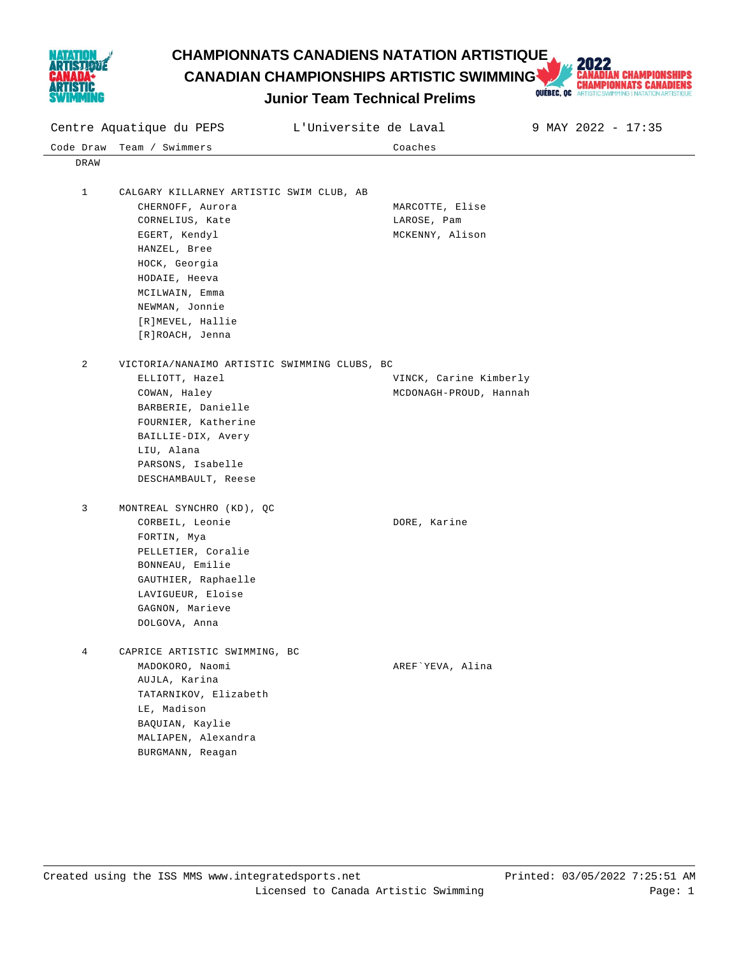

**CHAMPIONNATS CANADIENS NATATION ARTISTIQUE<br>
CANADIAN CHAMPIONSHIPS ARTISTIC SWIMMING AND CHAMPIONNATS CANADIENS<br>
LILINIOT Team Technical Prelims Decline Dubits Communical MATISTICS WIRE ARTISTOSH ARTISTICS AND ARTISTICS A CANADIAN CHAMPIONSHIPS ARTISTIC SWIMMING** 



|             | Centre Aquatique du PEPS<br>L'Universite de Laval<br>9 MAY 2022 - 17:35 |                                                  |  |  |  |
|-------------|-------------------------------------------------------------------------|--------------------------------------------------|--|--|--|
| Code Draw   | Team / Swimmers                                                         | Coaches                                          |  |  |  |
| DRAW        |                                                                         |                                                  |  |  |  |
|             |                                                                         |                                                  |  |  |  |
| $\mathbf 1$ | CALGARY KILLARNEY ARTISTIC SWIM CLUB, AB                                |                                                  |  |  |  |
|             | CHERNOFF, Aurora                                                        | MARCOTTE, Elise                                  |  |  |  |
|             | CORNELIUS, Kate                                                         | LAROSE, Pam                                      |  |  |  |
|             | EGERT, Kendyl                                                           | MCKENNY, Alison                                  |  |  |  |
|             | HANZEL, Bree                                                            |                                                  |  |  |  |
|             | HOCK, Georgia                                                           |                                                  |  |  |  |
|             | HODAIE, Heeva                                                           |                                                  |  |  |  |
|             | MCILWAIN, Emma                                                          |                                                  |  |  |  |
|             | NEWMAN, Jonnie                                                          |                                                  |  |  |  |
|             | [R]MEVEL, Hallie                                                        |                                                  |  |  |  |
|             | [R]ROACH, Jenna                                                         |                                                  |  |  |  |
| 2           | VICTORIA/NANAIMO ARTISTIC SWIMMING CLUBS, BC                            |                                                  |  |  |  |
|             | ELLIOTT, Hazel                                                          |                                                  |  |  |  |
|             | COWAN, Haley                                                            | VINCK, Carine Kimberly<br>MCDONAGH-PROUD, Hannah |  |  |  |
|             | BARBERIE, Danielle                                                      |                                                  |  |  |  |
|             | FOURNIER, Katherine                                                     |                                                  |  |  |  |
|             | BAILLIE-DIX, Avery                                                      |                                                  |  |  |  |
|             | LIU, Alana                                                              |                                                  |  |  |  |
|             | PARSONS, Isabelle                                                       |                                                  |  |  |  |
|             | DESCHAMBAULT, Reese                                                     |                                                  |  |  |  |
|             |                                                                         |                                                  |  |  |  |
| 3           | MONTREAL SYNCHRO (KD), QC                                               |                                                  |  |  |  |
|             | CORBEIL, Leonie                                                         | DORE, Karine                                     |  |  |  |
|             | FORTIN, Mya                                                             |                                                  |  |  |  |
|             | PELLETIER, Coralie                                                      |                                                  |  |  |  |
|             | BONNEAU, Emilie                                                         |                                                  |  |  |  |
|             | GAUTHIER, Raphaelle                                                     |                                                  |  |  |  |
|             | LAVIGUEUR, Eloise                                                       |                                                  |  |  |  |
|             | GAGNON, Marieve                                                         |                                                  |  |  |  |
|             | DOLGOVA, Anna                                                           |                                                  |  |  |  |
| 4           | CAPRICE ARTISTIC SWIMMING, BC                                           |                                                  |  |  |  |
|             | MADOKORO, Naomi                                                         | AREF`YEVA, Alina                                 |  |  |  |
|             | AUJLA, Karina                                                           |                                                  |  |  |  |
|             | TATARNIKOV, Elizabeth                                                   |                                                  |  |  |  |
|             | LE, Madison                                                             |                                                  |  |  |  |
|             | BAQUIAN, Kaylie                                                         |                                                  |  |  |  |
|             | MALIAPEN, Alexandra                                                     |                                                  |  |  |  |
|             | BURGMANN, Reagan                                                        |                                                  |  |  |  |
|             |                                                                         |                                                  |  |  |  |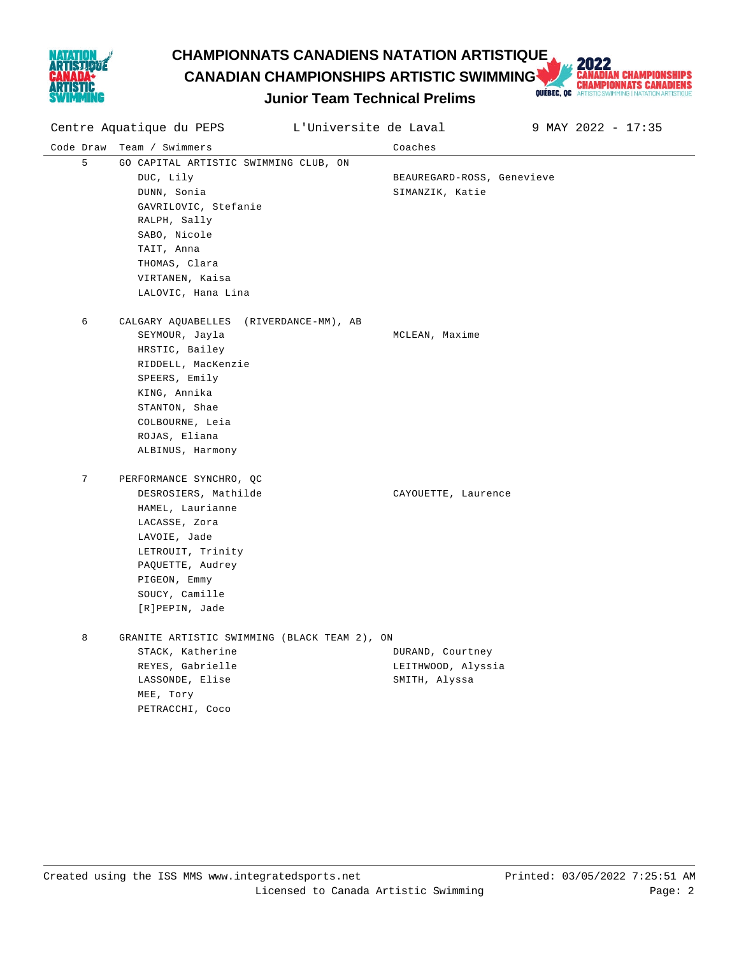

# **CHAMPIONNATS CANADIENS NATATION ARTISTIQUE<br>
CANADIAN CHAMPIONSHIPS ARTISTIC SWIMMING AND CHAMPIONNATS CANADIENS<br>
Lunior Team Technical Prelims Decembent Contrigue ARTISTICS WITH A RETIGNATION ARTISTICS AND REAL ARTISTICS. CANADIAN CHAMPIONSHIPS ARTISTIC SWIMMING**



|   | Centre Aquatique du PEPS                     | L'Universite de Laval |                            | 9 MAY 2022 - 17:35 |
|---|----------------------------------------------|-----------------------|----------------------------|--------------------|
|   | Code Draw Team / Swimmers                    |                       | Coaches                    |                    |
| 5 | GO CAPITAL ARTISTIC SWIMMING CLUB, ON        |                       |                            |                    |
|   | DUC, Lily                                    |                       | BEAUREGARD-ROSS, Genevieve |                    |
|   | DUNN, Sonia                                  |                       | SIMANZIK, Katie            |                    |
|   | GAVRILOVIC, Stefanie                         |                       |                            |                    |
|   | RALPH, Sally                                 |                       |                            |                    |
|   | SABO, Nicole                                 |                       |                            |                    |
|   | TAIT, Anna                                   |                       |                            |                    |
|   | THOMAS, Clara                                |                       |                            |                    |
|   | VIRTANEN, Kaisa                              |                       |                            |                    |
|   | LALOVIC, Hana Lina                           |                       |                            |                    |
| 6 | CALGARY AQUABELLES (RIVERDANCE-MM), AB       |                       |                            |                    |
|   | SEYMOUR, Jayla                               |                       | MCLEAN, Maxime             |                    |
|   | HRSTIC, Bailey                               |                       |                            |                    |
|   | RIDDELL, MacKenzie                           |                       |                            |                    |
|   | SPEERS, Emily                                |                       |                            |                    |
|   | KING, Annika                                 |                       |                            |                    |
|   | STANTON, Shae                                |                       |                            |                    |
|   | COLBOURNE, Leia                              |                       |                            |                    |
|   | ROJAS, Eliana                                |                       |                            |                    |
|   | ALBINUS, Harmony                             |                       |                            |                    |
| 7 | PERFORMANCE SYNCHRO, QC                      |                       |                            |                    |
|   | DESROSIERS, Mathilde                         |                       | CAYOUETTE, Laurence        |                    |
|   | HAMEL, Laurianne                             |                       |                            |                    |
|   | LACASSE, Zora                                |                       |                            |                    |
|   | LAVOIE, Jade                                 |                       |                            |                    |
|   | LETROUIT, Trinity                            |                       |                            |                    |
|   | PAQUETTE, Audrey                             |                       |                            |                    |
|   | PIGEON, Emmy                                 |                       |                            |                    |
|   | SOUCY, Camille                               |                       |                            |                    |
|   | [R]PEPIN, Jade                               |                       |                            |                    |
| 8 | GRANITE ARTISTIC SWIMMING (BLACK TEAM 2), ON |                       |                            |                    |
|   | STACK, Katherine                             |                       | DURAND, Courtney           |                    |
|   | REYES, Gabrielle                             |                       | LEITHWOOD, Alyssia         |                    |
|   | LASSONDE, Elise                              |                       | SMITH, Alyssa              |                    |
|   | MEE, Tory                                    |                       |                            |                    |
|   | PETRACCHI, Coco                              |                       |                            |                    |
|   |                                              |                       |                            |                    |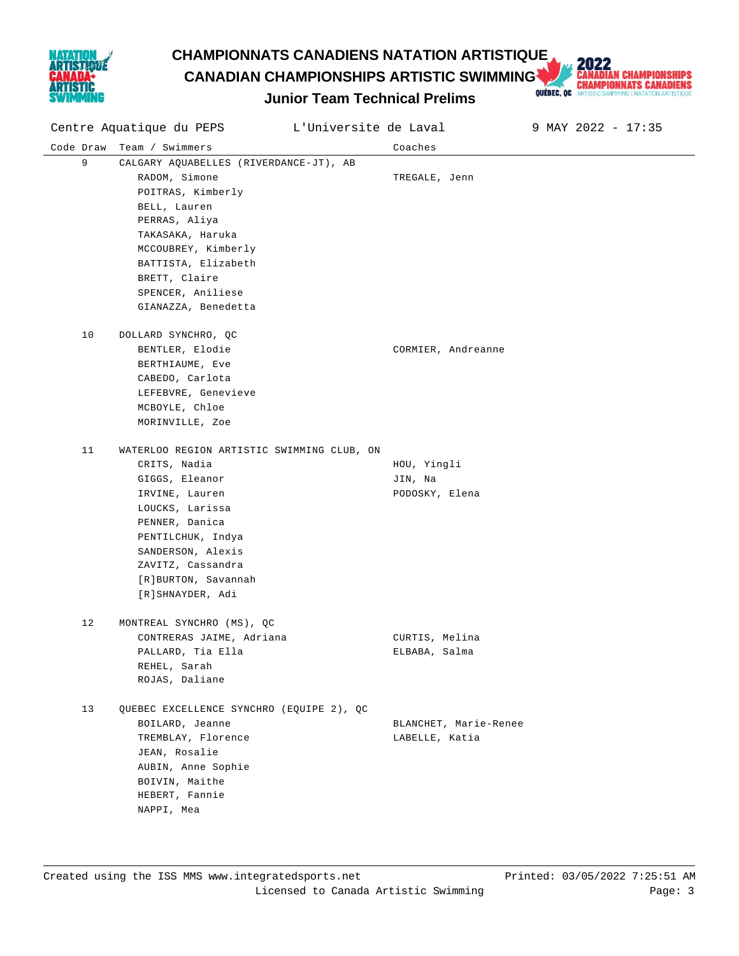

# **CHAMPIONNATS CANADIENS NATATION ARTISTIQUE<br>
CANADIAN CHAMPIONSHIPS ARTISTIC SWIMMING AND CHAMPIONNATS CANADIENS<br>
Lunior Team Technical Prelims Decision ARTISTICS ARTISTICS OF ARTISTICS AND ARTISTOSIAL PRIMERION ARTISTOSIA CANADIAN CHAMPIONSHIPS ARTISTIC SWIMMING**

Centre Aquatique du PEPS L'Universite de Laval 9 MAY 2022 - 17:35

Code Draw Team / Swimmers Coaches



**Junior Team Technical Prelims**

| 9  | CALGARY AQUABELLES (RIVERDANCE-JT), AB     |                    |
|----|--------------------------------------------|--------------------|
|    | RADOM, Simone                              | TREGALE, Jenn      |
|    | POITRAS, Kimberly                          |                    |
|    | BELL, Lauren                               |                    |
|    | PERRAS, Aliya                              |                    |
|    | TAKASAKA, Haruka                           |                    |
|    | MCCOUBREY, Kimberly                        |                    |
|    | BATTISTA, Elizabeth                        |                    |
|    | BRETT, Claire                              |                    |
|    | SPENCER, Aniliese                          |                    |
|    | GIANAZZA, Benedetta                        |                    |
| 10 | DOLLARD SYNCHRO, QC                        |                    |
|    | BENTLER, Elodie                            | CORMIER, Andreanne |
|    | BERTHIAUME, Eve                            |                    |
|    | CABEDO, Carlota                            |                    |
|    | LEFEBVRE, Genevieve                        |                    |
|    | MCBOYLE, Chloe                             |                    |
|    | MORINVILLE, Zoe                            |                    |
| 11 | WATERLOO REGION ARTISTIC SWIMMING CLUB, ON |                    |
|    | CRITS, Nadia                               | HOU, Yingli        |
|    | GIGGS, Eleanor                             | JIN, Na            |
|    | IRVINE, Lauren                             | PODOSKY, Elena     |
|    | LOUCKS, Larissa                            |                    |
|    | PENNER, Danica                             |                    |
|    | PENTILCHUK, Indya                          |                    |
|    | SANDERSON, Alexis                          |                    |
|    | ZAVITZ, Cassandra                          |                    |
|    | [R]BURTON, Savannah                        |                    |
|    | [R]SHNAYDER, Adi                           |                    |
| 12 | MONTREAL SYNCHRO (MS), QC                  |                    |
|    | CONTRERAS JAIME, Adriana                   | CURTIS, Melina     |
|    | PALLARD, Tia Ella                          | ELBABA, Salma      |
|    | REHEL, Sarah                               |                    |
|    | ROJAS, Daliane                             |                    |
| 13 | QUEBEC EXCELLENCE SYNCHRO (EQUIPE 2), QC   |                    |

BOILARD, Jeanne **BLANCHET**, Marie-Renee TREMBLAY, Florence and Controller Manuel Changes LABELLE, Katia JEAN, Rosalie AUBIN, Anne Sophie BOIVIN, Maithe HEBERT, Fannie NAPPI, Mea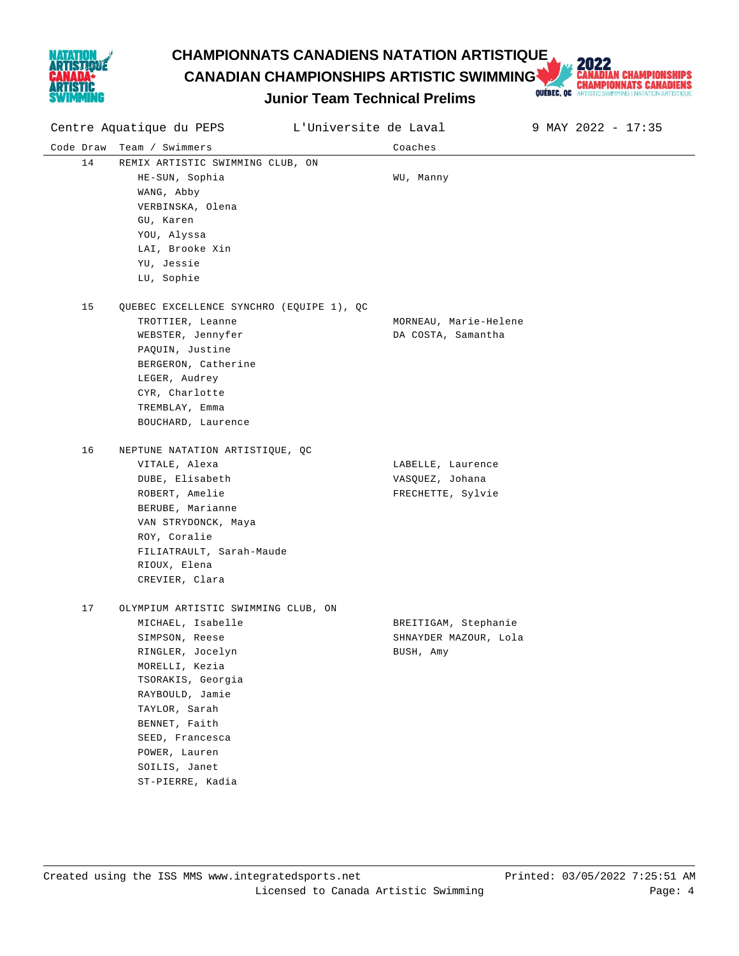

# **CHAMPIONNATS CANADIENS NATATION ARTISTIQUE<br>
CANADIAN CHAMPIONSHIPS ARTISTIC SWIMMING AND CHAMPIONNATS CANADIENS<br>
Lunior Team Technical Prelims Decision ARTISTICS ARTISTICS OF ARTISTICS AND ARTISTOSIAL PRIMERION ARTISTOSIA CANADIAN CHAMPIONSHIPS ARTISTIC SWIMMING**

| Centre Aquatique du PEPS |                                                                                                                                                                                                                                                                     | L'Universite de Laval |                                                            | 9 MAY 2022 - 17:35 |
|--------------------------|---------------------------------------------------------------------------------------------------------------------------------------------------------------------------------------------------------------------------------------------------------------------|-----------------------|------------------------------------------------------------|--------------------|
| Code Draw                | Team / Swimmers                                                                                                                                                                                                                                                     |                       | Coaches                                                    |                    |
| 14                       | REMIX ARTISTIC SWIMMING CLUB, ON<br>HE-SUN, Sophia<br>WANG, Abby<br>VERBINSKA, Olena<br>GU, Karen<br>YOU, Alyssa<br>LAI, Brooke Xin<br>YU, Jessie<br>LU, Sophie                                                                                                     |                       | WU, Manny                                                  |                    |
| 15                       | QUEBEC EXCELLENCE SYNCHRO (EQUIPE 1), QC<br>TROTTIER, Leanne<br>WEBSTER, Jennyfer<br>PAQUIN, Justine<br>BERGERON, Catherine<br>LEGER, Audrey<br>CYR, Charlotte<br>TREMBLAY, Emma<br>BOUCHARD, Laurence                                                              |                       | MORNEAU, Marie-Helene<br>DA COSTA, Samantha                |                    |
| 16                       | NEPTUNE NATATION ARTISTIQUE, QC<br>VITALE, Alexa<br>DUBE, Elisabeth<br>ROBERT, Amelie<br>BERUBE, Marianne<br>VAN STRYDONCK, Maya<br>ROY, Coralie<br>FILIATRAULT, Sarah-Maude<br>RIOUX, Elena<br>CREVIER, Clara                                                      |                       | LABELLE, Laurence<br>VASQUEZ, Johana<br>FRECHETTE, Sylvie  |                    |
| 17                       | OLYMPIUM ARTISTIC SWIMMING CLUB, ON<br>MICHAEL, Isabelle<br>SIMPSON, Reese<br>RINGLER, Jocelyn<br>MORELLI, Kezia<br>TSORAKIS, Georgia<br>RAYBOULD, Jamie<br>TAYLOR, Sarah<br>BENNET, Faith<br>SEED, Francesca<br>POWER, Lauren<br>SOILIS, Janet<br>ST-PIERRE, Kadia |                       | BREITIGAM, Stephanie<br>SHNAYDER MAZOUR, Lola<br>BUSH, Amy |                    |